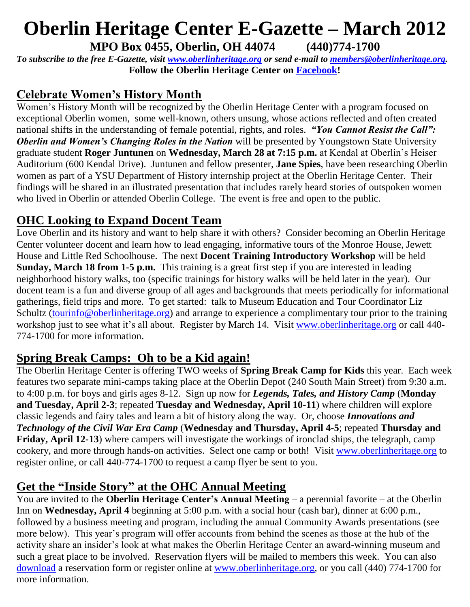# **Oberlin Heritage Center E-Gazette – March 2012**

**MPO Box 0455, Oberlin, OH 44074 (440)774-1700**

*To subscribe to the free E-Gazette, visit [www.oberlinheritage.org](http://www.oberlinheritage.org/) or send e-mail to [members@oberlinheritage.org.](mailto:members@oberlinheritage.org)* **Follow the Oberlin Heritage Center on [Facebook!](http://www.facebook.com/pages/Oberlin-Heritage-Center/67803550438?nctrct=1238704601085)**

## **Celebrate Women's History Month**

Women's History Month will be recognized by the Oberlin Heritage Center with a program focused on exceptional Oberlin women, some well-known, others unsung, whose actions reflected and often created national shifts in the understanding of female potential, rights, and roles. *"You Cannot Resist the Call": Oberlin and Women's Changing Roles in the Nation* will be presented by Youngstown State University graduate student **Roger Juntunen** on **Wednesday, March 28 at 7:15 p.m.** at Kendal at Oberlin's Heiser Auditorium (600 Kendal Drive). Juntunen and fellow presenter, **Jane Spies**, have been researching Oberlin women as part of a YSU Department of History internship project at the Oberlin Heritage Center. Their findings will be shared in an illustrated presentation that includes rarely heard stories of outspoken women who lived in Oberlin or attended Oberlin College. The event is free and open to the public.

#### **OHC Looking to Expand Docent Team**

Love Oberlin and its history and want to help share it with others? Consider becoming an Oberlin Heritage Center volunteer docent and learn how to lead engaging, informative tours of the Monroe House, Jewett House and Little Red Schoolhouse. The next **Docent Training Introductory Workshop** will be held **Sunday, March 18 from 1-5 p.m.** This training is a great first step if you are interested in leading neighborhood history walks, too (specific trainings for history walks will be held later in the year). Our docent team is a fun and diverse group of all ages and backgrounds that meets periodically for informational gatherings, field trips and more. To get started: talk to Museum Education and Tour Coordinator Liz Schultz [\(tourinfo@oberlinheritage.org\)](mailto:tourinfo@oberlinheritage.org) and arrange to experience a complimentary tour prior to the training workshop just to see what it's all about. Register by March 14. Visit [www.oberlinheritage.org](http://www.oberlinheritage.org/) or call 440- 774-1700 for more information.

## **Spring Break Camps: Oh to be a Kid again!**

The Oberlin Heritage Center is offering TWO weeks of **Spring Break Camp for Kids** this year. Each week features two separate mini-camps taking place at the Oberlin Depot (240 South Main Street) from 9:30 a.m. to 4:00 p.m. for boys and girls ages 8-12. Sign up now for *Legends, Tales, and History Camp* (**Monday and Tuesday, April 2-3**; repeated **Tuesday and Wednesday, April 10-11**) where children will explore classic legends and fairy tales and learn a bit of history along the way. Or, choose *Innovations and Technology of the Civil War Era Camp* (**Wednesday and Thursday, April 4-5**; repeated **Thursday and Friday, April 12-13**) where campers will investigate the workings of ironclad ships, the telegraph, camp cookery, and more through hands-on activities. Select one camp or both! Visit [www.oberlinheritage.org](http://www.oberlinheritage.org/) to register online, or call 440-774-1700 to request a camp flyer be sent to you.

## **Get the "Inside Story" at the OHC Annual Meeting**

You are invited to the **Oberlin Heritage Center's Annual Meeting** – a perennial favorite – at the Oberlin Inn on **Wednesday, April 4** beginning at 5:00 p.m. with a social hour (cash bar), dinner at 6:00 p.m., followed by a business meeting and program, including the annual Community Awards presentations (see more below). This year's program will offer accounts from behind the scenes as those at the hub of the activity share an insider's look at what makes the Oberlin Heritage Center an award-winning museum and such a great place to be involved. Reservation flyers will be mailed to members this week. You can also [download](http://www.oberlinheritage.org/files/whatsnew/attachments/2012_April_4_Annual_Meeting_flyer.pdf) a reservation form or register online at [www.oberlinheritage.org,](http://www.oberlinheritage.org/) or you call (440) 774-1700 for more information.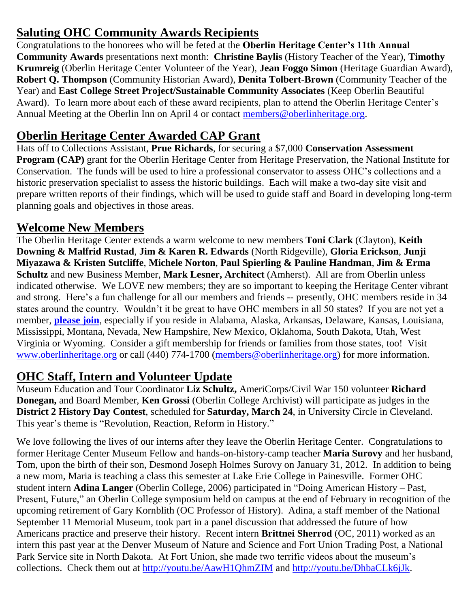## **Saluting OHC Community Awards Recipients**

Congratulations to the honorees who will be feted at the **Oberlin Heritage Center's 11th Annual Community Awards** presentations next month: **Christine Baylis** (History Teacher of the Year), **Timothy Krumreig** (Oberlin Heritage Center Volunteer of the Year), **Jean Foggo Simon** (Heritage Guardian Award), **Robert Q. Thompson** (Community Historian Award), **Denita Tolbert-Brown** (Community Teacher of the Year) and **East College Street Project/Sustainable Community Associates** (Keep Oberlin Beautiful Award). To learn more about each of these award recipients, plan to attend the Oberlin Heritage Center's Annual Meeting at the Oberlin Inn on April 4 or contact [members@oberlinheritage.org.](mailto:members@oberlinheritage.org)

## **Oberlin Heritage Center Awarded CAP Grant**

Hats off to Collections Assistant, **Prue Richards**, for securing a \$7,000 **Conservation Assessment Program (CAP)** grant for the Oberlin Heritage Center from Heritage Preservation, the National Institute for Conservation. The funds will be used to hire a professional conservator to assess OHC's collections and a historic preservation specialist to assess the historic buildings. Each will make a two-day site visit and prepare written reports of their findings, which will be used to guide staff and Board in developing long-term planning goals and objectives in those areas.

## **Welcome New Members**

The Oberlin Heritage Center extends a warm welcome to new members **Toni Clark** (Clayton), **Keith Downing & Malfrid Rustad**, **Jim & Karen R. Edwards** (North Ridgeville), **Gloria Erickson**, **Junji Miyazawa & Kristen Sutcliffe**, **Michele Norton**, **Paul Spierling & Pauline Handman**, **Jim & Erma Schultz** and new Business Member, **Mark Lesner, Architect** (Amherst). All are from Oberlin unless indicated otherwise. We LOVE new members; they are so important to keeping the Heritage Center vibrant and strong. Here's a fun challenge for all our members and friends -- presently, OHC members reside in 34 states around the country. Wouldn't it be great to have OHC members in all 50 states? If you are not yet a member, **[please join](http://www.oberlinheritage.org/getinvolved/join)**, especially if you reside in Alabama, Alaska, Arkansas, Delaware, Kansas, Louisiana, Mississippi, Montana, Nevada, New Hampshire, New Mexico, Oklahoma, South Dakota, Utah, West Virginia or Wyoming. Consider a gift membership for friends or families from those states, too! Visit [www.oberlinheritage.org](http://www.oberlinheritage.org/) or call (440) 774-1700 [\(members@oberlinheritage.org\)](mailto:members@oberlinheritage.org) for more information.

## **OHC Staff, Intern and Volunteer Update**

Museum Education and Tour Coordinator **Liz Schultz,** AmeriCorps/Civil War 150 volunteer **Richard Donegan,** and Board Member, **Ken Grossi** (Oberlin College Archivist) will participate as judges in the **District 2 History Day Contest**, scheduled for **Saturday, March 24**, in University Circle in Cleveland. This year's theme is "Revolution, Reaction, Reform in History."

We love following the lives of our interns after they leave the Oberlin Heritage Center. Congratulations to former Heritage Center Museum Fellow and hands-on-history-camp teacher **Maria Surovy** and her husband, Tom, upon the birth of their son, Desmond Joseph Holmes Surovy on January 31, 2012. In addition to being a new mom, Maria is teaching a class this semester at Lake Erie College in Painesville. Former OHC student intern **Adina Langer** (Oberlin College, 2006) participated in "Doing American History – Past, Present, Future," an Oberlin College symposium held on campus at the end of February in recognition of the upcoming retirement of Gary Kornblith (OC Professor of History). Adina, a staff member of the National September 11 Memorial Museum, took part in a panel discussion that addressed the future of how Americans practice and preserve their history. Recent intern **Brittnei Sherrod** (OC, 2011) worked as an intern this past year at the Denver Museum of Nature and Science and Fort Union Trading Post, a National Park Service site in North Dakota. At Fort Union, she made two terrific videos about the museum's collections. Check them out at<http://youtu.be/AawH1QhmZIM> and [http://youtu.be/DhbaCLk6jJk.](http://youtu.be/DhbaCLk6jJk)